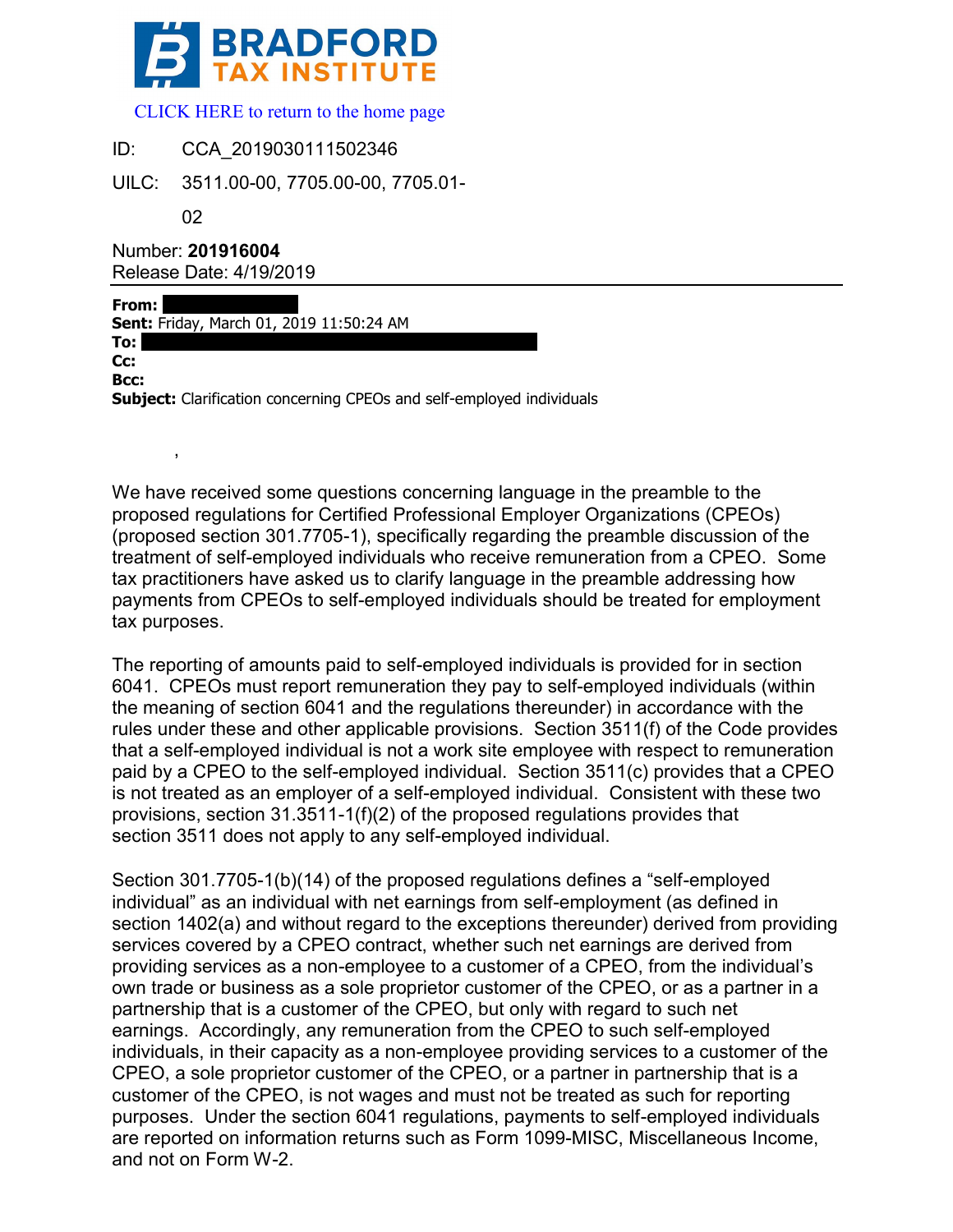

 [CLICK HERE to return to the home page](www.bradfordtaxinstitute.com) 

 $ID^+$ CCA\_2019030111502346

UILC: 3511.00-00, 7705.00-00, 7705.01-

02

 $\overline{\phantom{a}}$ 

Number: **201916004** Release Date: 4/19/2019

**From: Sent:** Friday, March 01, 2019 11:50:24 AM **To: Cc:** -------------------------------------------------------------------------------------------------------------- **Bcc: Subject:** Clarification concerning CPEOs and self-employed individuals

We have received some questions concerning language in the preamble to the proposed regulations for Certified Professional Employer Organizations (CPEOs) (proposed section 301.7705-1), specifically regarding the preamble discussion of the treatment of self-employed individuals who receive remuneration from a CPEO. Some tax practitioners have asked us to clarify language in the preamble addressing how payments from CPEOs to self-employed individuals should be treated for employment tax purposes.

The reporting of amounts paid to self-employed individuals is provided for in section 6041. CPEOs must report remuneration they pay to self-employed individuals (within the meaning of section 6041 and the regulations thereunder) in accordance with the rules under these and other applicable provisions. Section 3511(f) of the Code provides that a self-employed individual is not a work site employee with respect to remuneration paid by a CPEO to the self-employed individual. Section 3511(c) provides that a CPEO is not treated as an employer of a self-employed individual. Consistent with these two provisions, section 31.3511-1(f)(2) of the proposed regulations provides that section 3511 does not apply to any self-employed individual.

Section 301.7705-1(b)(14) of the proposed regulations defines a "self-employed individual" as an individual with net earnings from self-employment (as defined in section 1402(a) and without regard to the exceptions thereunder) derived from providing services covered by a CPEO contract, whether such net earnings are derived from providing services as a non-employee to a customer of a CPEO, from the individual's own trade or business as a sole proprietor customer of the CPEO, or as a partner in a partnership that is a customer of the CPEO, but only with regard to such net earnings. Accordingly, any remuneration from the CPEO to such self-employed individuals, in their capacity as a non-employee providing services to a customer of the CPEO, a sole proprietor customer of the CPEO, or a partner in partnership that is a customer of the CPEO, is not wages and must not be treated as such for reporting purposes. Under the section 6041 regulations, payments to self-employed individuals are reported on information returns such as Form 1099-MISC, Miscellaneous Income, and not on Form W-2.